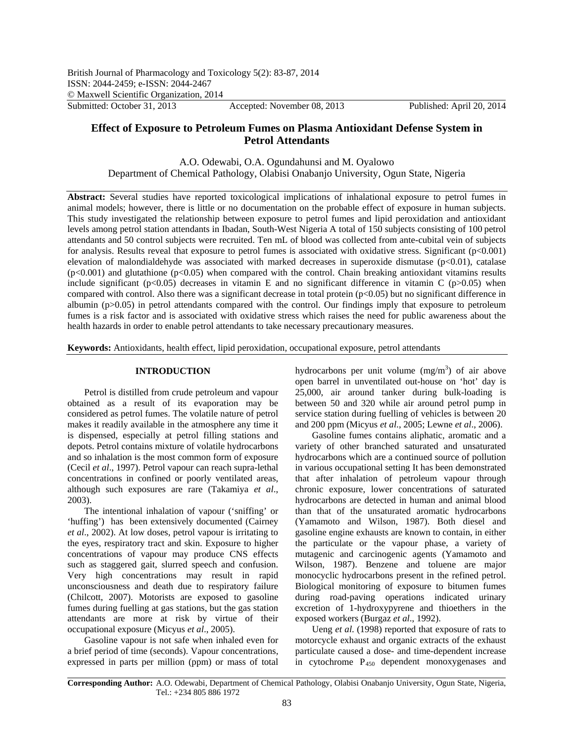# **Effect of Exposure to Petroleum Fumes on Plasma Antioxidant Defense System in Petrol Attendants**

A.O. Odewabi, O.A. Ogundahunsi and M. Oyalowo Department of Chemical Pathology, Olabisi Onabanjo University, Ogun State, Nigeria

**Abstract:** Several studies have reported toxicological implications of inhalational exposure to petrol fumes in animal models; however, there is little or no documentation on the probable effect of exposure in human subjects. This study investigated the relationship between exposure to petrol fumes and lipid peroxidation and antioxidant levels among petrol station attendants in Ibadan, South-West Nigeria A total of 150 subjects consisting of 100 petrol attendants and 50 control subjects were recruited. Ten mL of blood was collected from ante-cubital vein of subjects for analysis. Results reveal that exposure to petrol fumes is associated with oxidative stress. Significant  $(p<0.001)$ elevation of malondialdehyde was associated with marked decreases in superoxide dismutase  $(p<0.01)$ , catalase (p<0.001) and glutathione (p<0.05) when compared with the control. Chain breaking antioxidant vitamins results include significant ( $p<0.05$ ) decreases in vitamin E and no significant difference in vitamin C ( $p>0.05$ ) when compared with control. Also there was a significant decrease in total protein  $(p<0.05)$  but no significant difference in albumin (p>0.05) in petrol attendants compared with the control. Our findings imply that exposure to petroleum fumes is a risk factor and is associated with oxidative stress which raises the need for public awareness about the health hazards in order to enable petrol attendants to take necessary precautionary measures.

**Keywords:** Antioxidants, health effect, lipid peroxidation, occupational exposure, petrol attendants

## **INTRODUCTION**

Petrol is distilled from crude petroleum and vapour obtained as a result of its evaporation may be considered as petrol fumes. The volatile nature of petrol makes it readily available in the atmosphere any time it is dispensed, especially at petrol filling stations and depots. Petrol contains mixture of volatile hydrocarbons and so inhalation is the most common form of exposure (Cecil *et al*., 1997). Petrol vapour can reach supra-lethal concentrations in confined or poorly ventilated areas, although such exposures are rare (Takamiya *et al*., 2003).

The intentional inhalation of vapour ('sniffing' or 'huffing') has been extensively documented (Cairney *et al*., 2002). At low doses, petrol vapour is irritating to the eyes, respiratory tract and skin. Exposure to higher concentrations of vapour may produce CNS effects such as staggered gait, slurred speech and confusion. Very high concentrations may result in rapid unconsciousness and death due to respiratory failure (Chilcott, 2007). Motorists are exposed to gasoline fumes during fuelling at gas stations, but the gas station attendants are more at risk by virtue of their occupational exposure (Micyus *et al*., 2005).

Gasoline vapour is not safe when inhaled even for a brief period of time (seconds). Vapour concentrations, expressed in parts per million (ppm) or mass of total

hydrocarbons per unit volume  $(mg/m<sup>3</sup>)$  of air above open barrel in unventilated out-house on 'hot' day is 25,000, air around tanker during bulk-loading is between 50 and 320 while air around petrol pump in service station during fuelling of vehicles is between 20 and 200 ppm (Micyus *et al*., 2005; Lewne *et al*., 2006).

Gasoline fumes contains aliphatic, aromatic and a variety of other branched saturated and unsaturated hydrocarbons which are a continued source of pollution in various occupational setting It has been demonstrated that after inhalation of petroleum vapour through chronic exposure, lower concentrations of saturated hydrocarbons are detected in human and animal blood than that of the unsaturated aromatic hydrocarbons (Yamamoto and Wilson, 1987). Both diesel and gasoline engine exhausts are known to contain, in either the particulate or the vapour phase, a variety of mutagenic and carcinogenic agents (Yamamoto and Wilson, 1987). Benzene and toluene are major monocyclic hydrocarbons present in the refined petrol. Biological monitoring of exposure to bitumen fumes during road-paving operations indicated urinary excretion of 1-hydroxypyrene and thioethers in the exposed workers (Burgaz *et al*., 1992).

Ueng *et al*. (1998) reported that exposure of rats to motorcycle exhaust and organic extracts of the exhaust particulate caused a dose- and time-dependent increase in cytochrome  $P_{450}$  dependent monoxygenases and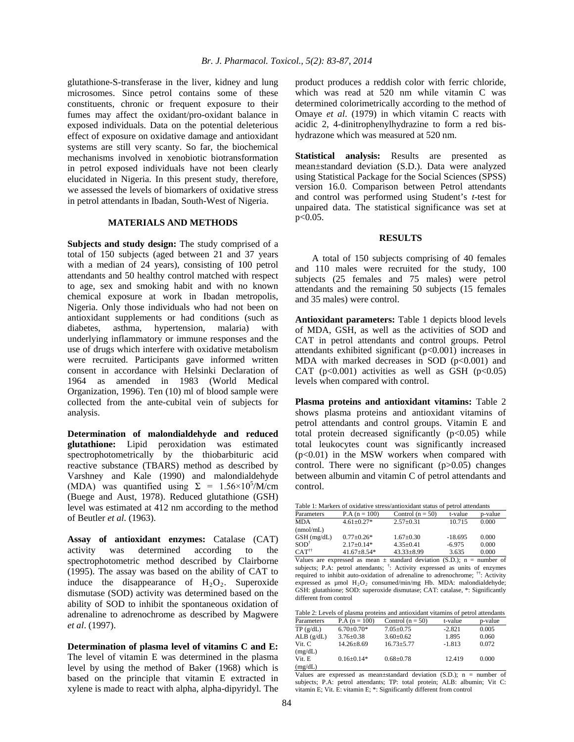glutathione-S-transferase in the liver, kidney and lung microsomes. Since petrol contains some of these constituents, chronic or frequent exposure to their fumes may affect the oxidant/pro-oxidant balance in exposed individuals. Data on the potential deleterious effect of exposure on oxidative damage and antioxidant systems are still very scanty. So far, the biochemical mechanisms involved in xenobiotic biotransformation in petrol exposed individuals have not been clearly elucidated in Nigeria. In this present study, therefore, we assessed the levels of biomarkers of oxidative stress in petrol attendants in Ibadan, South-West of Nigeria.

#### **MATERIALS AND METHODS**

**Subjects and study design:** The study comprised of a total of 150 subjects (aged between 21 and 37 years with a median of 24 years), consisting of 100 petrol attendants and 50 healthy control matched with respect to age, sex and smoking habit and with no known chemical exposure at work in Ibadan metropolis, Nigeria. Only those individuals who had not been on antioxidant supplements or had conditions (such as diabetes, asthma, hypertension, malaria) with underlying inflammatory or immune responses and the use of drugs which interfere with oxidative metabolism were recruited. Participants gave informed written consent in accordance with Helsinki Declaration of 1964 as amended in 1983 (World Medical Organization, 1996). Ten (10) ml of blood sample were collected from the ante-cubital vein of subjects for analysis.

**Determination of malondialdehyde and reduced glutathione:** Lipid peroxidation was estimated spectrophotometrically by the thiobarbituric acid reactive substance (TBARS) method as described by Varshney and Kale (1990) and malondialdehyde (MDA) was quantified using  $\Sigma = 1.56 \times 10^5$ /M/cm (Buege and Aust, 1978). Reduced glutathione (GSH) level was estimated at 412 nm according to the method of Beutler *et al*. (1963).

**Assay of antioxidant enzymes:** Catalase (CAT) activity was determined according to the spectrophotometric method described by Clairborne (1995). The assay was based on the ability of CAT to induce the disappearance of  $H_2O_2$ . Superoxide dismutase (SOD) activity was determined based on the ability of SOD to inhibit the spontaneous oxidation of adrenaline to adrenochrome as described by Magwere *et al*. (1997).

**Determination of plasma level of vitamins C and E:**  The level of vitamin E was determined in the plasma level by using the method of Baker (1968) which is based on the principle that vitamin E extracted in xylene is made to react with alpha, alpha-dipyridyl. The

product produces a reddish color with ferric chloride, which was read at 520 nm while vitamin C was determined colorimetrically according to the method of Omaye *et al*. (1979) in which vitamin C reacts with acidic 2, 4-dinitrophenylhydrazine to form a red bishydrazone which was measured at 520 nm.

**Statistical analysis:** Results are presented as mean±standard deviation (S.D.). Data were analyzed using Statistical Package for the Social Sciences (SPSS) version 16.0. Comparison between Petrol attendants and control was performed using Student's *t*-test for unpaired data. The statistical significance was set at p<0.05.

#### **RESULTS**

A total of 150 subjects comprising of 40 females and 110 males were recruited for the study, 100 subjects (25 females and 75 males) were petrol attendants and the remaining 50 subjects (15 females and 35 males) were control.

**Antioxidant parameters:** Table 1 depicts blood levels of MDA, GSH, as well as the activities of SOD and CAT in petrol attendants and control groups. Petrol attendants exhibited significant (p<0.001) increases in MDA with marked decreases in SOD  $(p<0.001)$  and CAT ( $p<0.001$ ) activities as well as GSH ( $p<0.05$ ) levels when compared with control.

**Plasma proteins and antioxidant vitamins:** Table 2 shows plasma proteins and antioxidant vitamins of petrol attendants and control groups. Vitamin E and total protein decreased significantly  $(p<0.05)$  while total leukocytes count was significantly increased  $(p<0.01)$  in the MSW workers when compared with control. There were no significant  $(p>0.05)$  changes between albumin and vitamin C of petrol attendants and control.

| Table 1: Markers of oxidative stress/antioxidant status of petrol attendants |                  |                    |           |         |  |  |
|------------------------------------------------------------------------------|------------------|--------------------|-----------|---------|--|--|
| Parameters                                                                   | $P.A (n = 100)$  | Control $(n = 50)$ | t-value   | p-value |  |  |
| <b>MDA</b>                                                                   | $4.61 + 0.27*$   | $2.57 \pm 0.31$    | 10.715    | 0.000   |  |  |
| (nmol/mL)                                                                    |                  |                    |           |         |  |  |
| $GSH$ (mg/dL)                                                                | $0.77+0.26*$     | $1.67 \pm 0.30$    | $-18.695$ | 0.000   |  |  |
| $SOD^{\dagger}$                                                              | $2.17 \pm 0.14*$ | $4.35 \pm 0.41$    | $-6.975$  | 0.000   |  |  |
| $CAT^{\dagger\dagger}$                                                       | $41.67 + 8.54*$  | $43.33 \pm 8.99$   | 3.635     | 0.000   |  |  |

Values are expressed as mean  $\pm$  standard deviation (S.D.); n = number of subjects; P.A: petrol attendants; <sup>†</sup>: Activity expressed as units of enzymes required to inhibit auto-oxidation of adrenaline to adrenochrome; ††: Activity expressed as  $\mu$ mol  $H_2O_2$  consumed/min/mg Hb. MDA: malondialdehyde; GSH: glutathione; SOD: superoxide dismutase; CAT: catalase, \*: Significantly different from control

| Table 2: Levels of plasma proteins and antioxidant vitamins of petrol attendants |                  |                    |          |         |  |  |
|----------------------------------------------------------------------------------|------------------|--------------------|----------|---------|--|--|
| Parameters                                                                       | $P.A (n = 100)$  | Control $(n = 50)$ | t-value  | p-value |  |  |
| TP(g/dL)                                                                         | $6.70+0.70*$     | $7.05 + 0.75$      | $-2.821$ | 0.005   |  |  |
| ALB(g/dL)                                                                        | $3.76 + 0.38$    | $3.60 \pm 0.62$    | 1.895    | 0.060   |  |  |
| Vit. C                                                                           | $14.26 \pm 8.69$ | $16.73 \pm 5.77$   | $-1.813$ | 0.072   |  |  |
| (mg/dL)                                                                          |                  |                    |          |         |  |  |
| Vit. E                                                                           | $0.16 \pm 0.14*$ | $0.68 + 0.78$      | 12.419   | 0.000   |  |  |
| (mg/dL)                                                                          |                  |                    |          |         |  |  |

Values are expressed as mean $\pm$ standard deviation (S.D.); n = number of subjects; P.A: petrol attendants; TP: total protein; ALB: albumin; Vit C: vitamin E; Vit. E: vitamin E; \*: Significantly different from control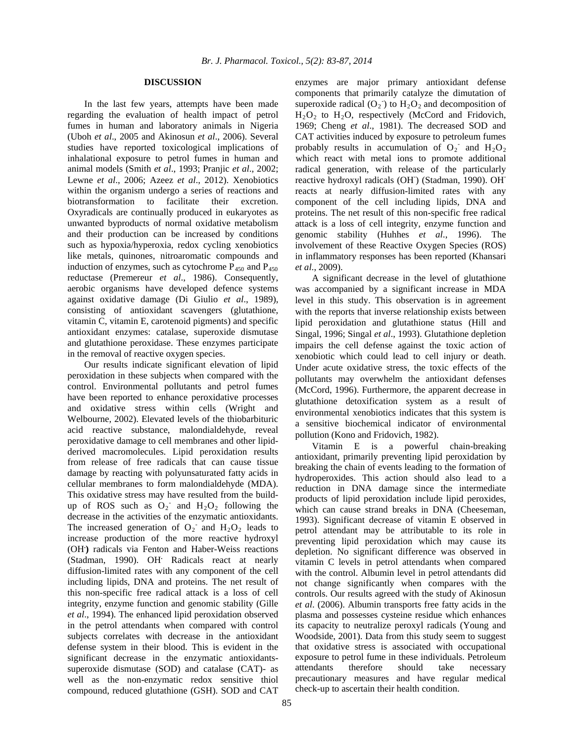## **DISCUSSION**

In the last few years, attempts have been made regarding the evaluation of health impact of petrol fumes in human and laboratory animals in Nigeria (Uboh *et al*., 2005 and Akinosun *et al*., 2006). Several studies have reported toxicological implications of inhalational exposure to petrol fumes in human and animal models (Smith *et al*., 1993; Pranjic *et al*., 2002; Lewne *et al*., 2006; [Azeez](http://www.toxicologyinternational.com/searchresult.asp?search=&author=Oyebisi+M+Azeez&journal=Y&but_search=Search&entries=10&pg=1&s=0) *et al*., 2012). Xenobiotics within the organism undergo a series of reactions and biotransformation to facilitate their excretion. Oxyradicals are continually produced in eukaryotes as unwanted byproducts of normal oxidative metabolism and their production can be increased by conditions such as hypoxia/hyperoxia, redox cycling xenobiotics like metals, quinones, nitroaromatic compounds and induction of enzymes, such as cytochrome  $P_{450}$  and  $P_{450}$ reductase (Premereur *et al*., 1986). Consequently, aerobic organisms have developed defence systems against oxidative damage (Di Giulio *et al*., 1989), consisting of antioxidant scavengers (glutathione, vitamin C, vitamin E, carotenoid pigments) and specific antioxidant enzymes: catalase, superoxide dismutase and glutathione peroxidase. These enzymes participate in the removal of reactive oxygen species.

Our results indicate significant elevation of lipid peroxidation in these subjects when compared with the control. Environmental pollutants and petrol fumes have been reported to enhance peroxidative processes and oxidative stress within cells (Wright and Welbourne, 2002). Elevated levels of the thiobarbituric acid reactive substance, malondialdehyde, reveal peroxidative damage to cell membranes and other lipidderived macromolecules. Lipid peroxidation results from release of free radicals that can cause tissue damage by reacting with polyunsaturated fatty acids in cellular membranes to form malondialdehyde (MDA). This oxidative stress may have resulted from the buildup of ROS such as  $O_2$  and  $H_2O_2$  following the decrease in the activities of the enzymatic antioxidants. The increased generation of  $O_2$  and  $H_2O_2$  leads to increase production of the more reactive hydroxyl (OH**. )** radicals via Fenton and Haber-Weiss reactions (Stadman, 1990). OH**.** Radicals react at nearly diffusion-limited rates with any component of the cell including lipids, DNA and proteins. The net result of this non-specific free radical attack is a loss of cell integrity, enzyme function and genomic stability (Gille *et al*., 1994). The enhanced lipid peroxidation observed in the petrol attendants when compared with control subjects correlates with decrease in the antioxidant defense system in their blood. This is evident in the significant decrease in the enzymatic antioxidantssuperoxide dismutase (SOD) and catalase (CAT)- as well as the non-enzymatic redox sensitive thiol compound, reduced glutathione (GSH). SOD and CAT

enzymes are major primary antioxidant defense components that primarily catalyze the dimutation of superoxide radical  $(O_2)$  to  $H_2O_2$  and decomposition of  $H<sub>2</sub>O<sub>2</sub>$  to  $H<sub>2</sub>O$ , respectively (McCord and Fridovich, 1969; Cheng *et al*., 1981). The decreased SOD and CAT activities induced by exposure to petroleum fumes probably results in accumulation of  $O_2$  and  $H_2O_2$ which react with metal ions to promote additional radical generation, with release of the particularly reactive hydroxyl radicals (OH<sup>-</sup>) (Stadman, 1990). OH<sup>-</sup> reacts at nearly diffusion-limited rates with any component of the cell including lipids, DNA and proteins. The net result of this non-specific free radical attack is a loss of cell integrity, enzyme function and genomic stability (Huhhes *et al*., 1996). The involvement of these Reactive Oxygen Species (ROS) in inflammatory responses has been reported (Khansari *et al*., 2009).

A significant decrease in the level of glutathione was accompanied by a significant increase in MDA level in this study. This observation is in agreement with the reports that inverse relationship exists between lipid peroxidation and glutathione status (Hill and Singal, 1996; Singal *et al*., 1993). Glutathione depletion impairs the cell defense against the toxic action of xenobiotic which could lead to cell injury or death. Under acute oxidative stress, the toxic effects of the pollutants may overwhelm the antioxidant defenses (McCord, 1996). Furthermore, the apparent decrease in glutathione detoxification system as a result of environmental xenobiotics indicates that this system is a sensitive biochemical indicator of environmental pollution (Kono and Fridovich, 1982).

Vitamin E is a powerful chain-breaking antioxidant, primarily preventing lipid peroxidation by breaking the chain of events leading to the formation of hydroperoxides. This action should also lead to a reduction in DNA damage since the intermediate products of lipid peroxidation include lipid peroxides, which can cause strand breaks in DNA (Cheeseman, 1993). Significant decrease of vitamin E observed in petrol attendant may be attributable to its role in preventing lipid peroxidation which may cause its depletion. No significant difference was observed in vitamin C levels in petrol attendants when compared with the control. Albumin level in petrol attendants did not change significantly when compares with the controls. Our results agreed with the study of Akinosun *et al*. (2006). Albumin transports free fatty acids in the plasma and possesses cysteine residue which enhances its capacity to neutralize peroxyl radicals (Young and Woodside, 2001). Data from this study seem to suggest that oxidative stress is associated with occupational exposure to petrol fume in these individuals. Petroleum attendants therefore should take necessary precautionary measures and have regular medical check-up to ascertain their health condition.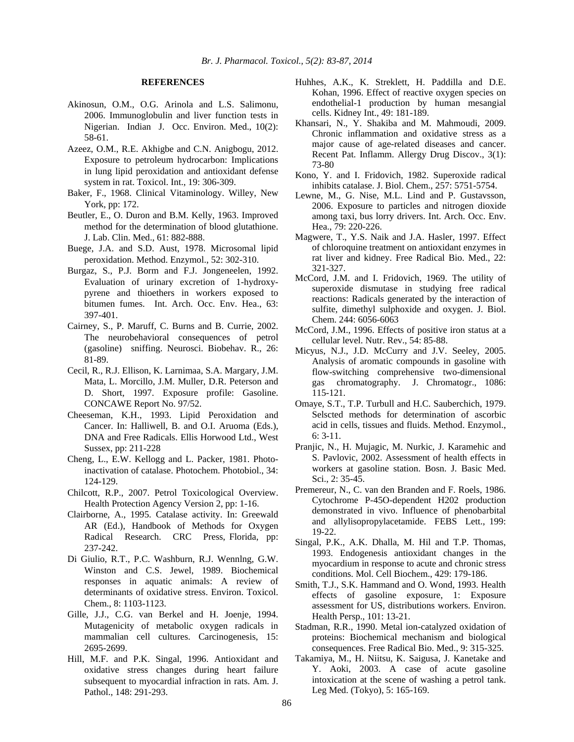### **REFERENCES**

- Akinosun, O.M., O.G. Arinola and L.S. Salimonu, 2006. Immunoglobulin and liver function tests in Nigerian. Indian J. Occ. Environ. Med., 10(2): 58-61.
- [Azeez,](http://www.toxicologyinternational.com/searchresult.asp?search=&author=Oyebisi+M+Azeez&journal=Y&but_search=Search&entries=10&pg=1&s=0) O.M., R.E. [Akhigbe](http://www.toxicologyinternational.com/searchresult.asp?search=&author=Roland+E+Akhigbe&journal=Y&but_search=Search&entries=10&pg=1&s=0) and C.N. [Anigbogu,](http://www.toxicologyinternational.com/searchresult.asp?search=&author=Chikodi+N+Anigbogu&journal=Y&but_search=Search&entries=10&pg=1&s=0) 2012. Exposure to petroleum hydrocarbon: Implications in lung lipid peroxidation and antioxidant defense system in rat. Toxicol. Int., 19: 306-309.
- Baker, F., 1968. Clinical Vitaminology. Willey, New York, pp: 172.
- Beutler, E., O. Duron and B.M. Kelly, 1963. Improved method for the determination of blood glutathione. J. Lab. Clin. Med., 61: 882-888.
- Buege, J.A. and S.D. Aust, 1978. Microsomal lipid peroxidation. Method. Enzymol., 52: 302-310.
- Burgaz, S., P.J. Borm and F.J. Jongeneelen, 1992. Evaluation of urinary excretion of 1-hydroxypyrene and thioethers in workers exposed to bitumen fumes. Int. Arch. Occ. Env. Hea., 63: 397-401.
- Cairney, S., P. Maruff, C. Burns and B. Currie, 2002. The neurobehavioral consequences of petrol (gasoline) sniffing. Neurosci. Biobehav. R., 26: 81-89.
- Cecil, R., R.J. Ellison, K. Larnimaa, S.A. Margary, J.M. Mata, L. Morcillo, J.M. Muller, D.R. Peterson and D. Short, 1997. Exposure profile: Gasoline. CONCAWE Report No. 97/52.
- Cheeseman, K.H., 1993. Lipid Peroxidation and Cancer. In: Halliwell, B. and O.I. Aruoma (Eds.), DNA and Free Radicals. Ellis Horwood Ltd., West Sussex, pp: 211-228
- Cheng, L., E.W. Kellogg and L. Packer, 1981. Photoinactivation of catalase. Photochem. Photobiol., 34: 124-129.
- Chilcott, R.P., 2007. Petrol Toxicological Overview. Health Protection Agency Version 2, pp: 1-16.
- Clairborne, A., 1995. Catalase activity. In: Greewald AR (Ed.), Handbook of Methods for Oxygen Radical Research. CRC Press, Florida, pp: 237-242.
- Di Giulio, R.T., P.C. Washburn, R.J. Wennlng, G.W. Winston and C.S. Jewel, 1989. Biochemical responses in aquatic animals: A review of determinants of oxidative stress. Environ. Toxicol. Chem., 8: 1103-1123.
- Gille, J.J., C.G. van Berkel and H. Joenje, 1994. Mutagenicity of metabolic oxygen radicals in mammalian cell cultures. Carcinogenesis, 15: 2695-2699.
- Hill, M.F. and P.K. Singal, 1996. Antioxidant and oxidative stress changes during heart failure subsequent to myocardial infraction in rats. Am. J. Pathol., 148: 291-293.
- Huhhes, A.K., K. Streklett, H. Paddilla and D.E. Kohan, 1996. Effect of reactive oxygen species on endothelial-1 production by human mesangial cells. Kidney Int., 49: 181-189.
- Khansari, N., Y. Shakiba and M. Mahmoudi, 2009. Chronic inflammation and oxidative stress as a major cause of age-related diseases and cancer. Recent Pat. Inflamm. Allergy Drug Discov., 3(1): 73-80
- Kono, Y. and I. Fridovich, 1982. Superoxide radical inhibits catalase. J. Biol. Chem., 257: 5751-5754.
- Lewne, M., G. Nise, M.L. Lind and P. Gustavsson, 2006. Exposure to particles and nitrogen dioxide among taxi, bus lorry drivers. Int. Arch. Occ. Env. Hea., 79: 220-226.
- Magwere, T., Y.S. Naik and J.A. Hasler, 1997. Effect of chloroquine treatment on antioxidant enzymes in rat liver and kidney. Free Radical Bio. Med., 22: 321-327.
- McCord, J.M. and I. Fridovich, 1969. The utility of superoxide dismutase in studying free radical reactions: Radicals generated by the interaction of sulfite, dimethyl sulphoxide and oxygen. J. Biol. Chem. 244: 6056-6063
- McCord, J.M., 1996. Effects of positive iron status at a cellular level. Nutr. Rev., 54: 85-88.
- Micyus, N.J., J.D. McCurry and J.V. Seeley, 2005. Analysis of aromatic compounds in gasoline with flow-switching comprehensive two-dimensional gas chromatography. J. Chromatogr., 1086: 115-121.
- Omaye, S.T., T.P. Turbull and H.C. Sauberchich, 1979. Selscted methods for determination of ascorbic acid in cells, tissues and fluids. Method. Enzymol., 6: 3-11.
- Pranjic, N., H. Mujagic, M. Nurkic, J. Karamehic and S. Pavlovic, 2002. Assessment of health effects in workers at gasoline station. Bosn. J. Basic Med. Sci., 2: 35-45.
- Premereur, N., C. van den Branden and F. Roels, 1986. Cytochrome P-45O-dependent H202 production demonstrated in vivo. Influence of phenobarbital and allylisopropylacetamide. FEBS Lett., 199: 19-22.
- Singal, P.K., A.K. Dhalla, M. Hil and T.P. Thomas, 1993. Endogenesis antioxidant changes in the myocardium in response to acute and chronic stress conditions. Mol. Cell Biochem., 429: 179-186.
- Smith, T.J., S.K. Hammand and O. Wond, 1993. Health effects of gasoline exposure, 1: Exposure assessment for US, distributions workers. Environ. Health Persp., 101: 13-21.
- Stadman, R.R., 1990. Metal ion-catalyzed oxidation of proteins: Biochemical mechanism and biological consequences. Free Radical Bio. Med., 9: 315-325.
- Takamiya, M., H. Niitsu, K. Saigusa, J. Kanetake and Y. Aoki, 2003. A case of acute gasoline intoxication at the scene of washing a petrol tank. Leg Med. (Tokyo), 5: 165-169.